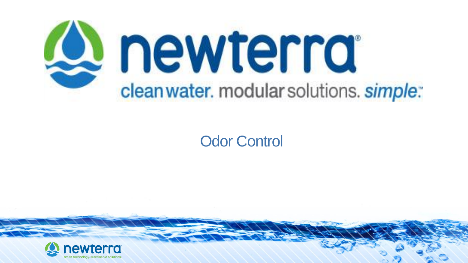

### Odor Control

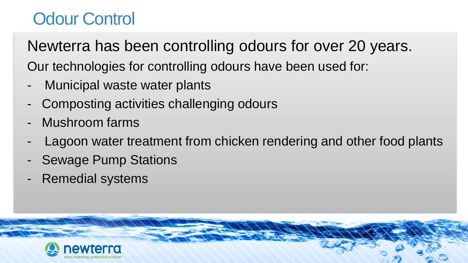# Odour Control

Newterra has been controlling odours for over 20 years. Our technologies for controlling odours have been used for:

- Municipal waste water plants
- Composting activities challenging odours
- Mushroom farms
- Lagoon water treatment from chicken rendering and other food plants
- **Sewage Pump Stations**
- Remedial systems

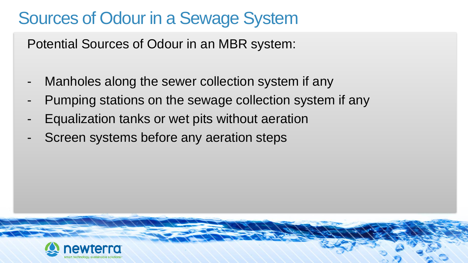# Sources of Odour in a Sewage System

Potential Sources of Odour in an MBR system:

- Manholes along the sewer collection system if any
- Pumping stations on the sewage collection system if any
- Equalization tanks or wet pits without aeration
- Screen systems before any aeration steps

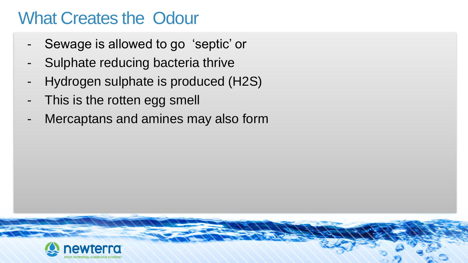### What Creates the Odour

- Sewage is allowed to go 'septic' or
- Sulphate reducing bacteria thrive
- Hydrogen sulphate is produced (H2S)
- This is the rotten egg smell
- Mercaptans and amines may also form

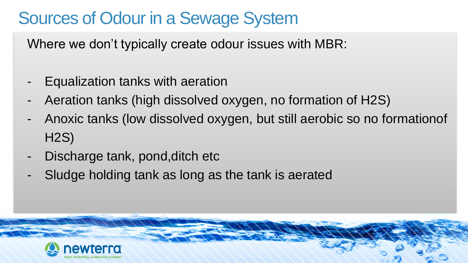# Sources of Odour in a Sewage System

Where we don't typically create odour issues with MBR:

- Equalization tanks with aeration
- Aeration tanks (high dissolved oxygen, no formation of H2S)
- Anoxic tanks (low dissolved oxygen, but still aerobic so no formationof H2S)
- Discharge tank, pond, ditch etc
- Sludge holding tank as long as the tank is aerated

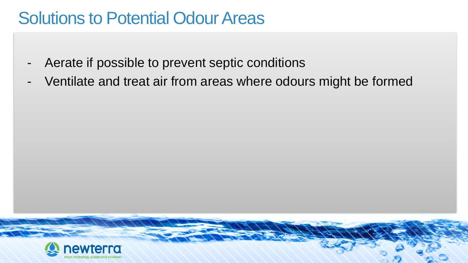### **Solutions to Potential Odour Areas**

- Aerate if possible to prevent septic conditions
- Ventilate and treat air from areas where odours might be formed

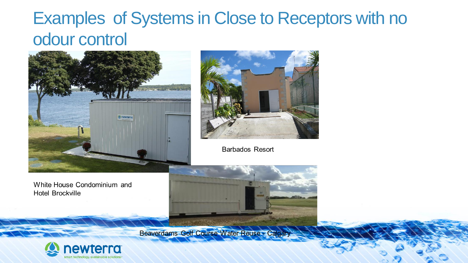# Examples of Systems in Close to Receptors with no odour control





**Barbados Resort** 



Beaverdams Golf Course Water Reuse - Calga



White House Condominium and

**Hotel Brockville**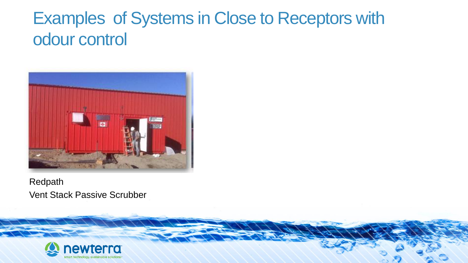# Examples of Systems in Close to Receptors with odour control



### Redpath Vent Stack Passive Scrubber

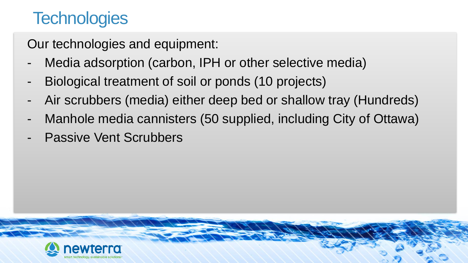# **Technologies**

Our technologies and equipment:

- Media adsorption (carbon, IPH or other selective media)
- Biological treatment of soil or ponds (10 projects)
- Air scrubbers (media) either deep bed or shallow tray (Hundreds)
- Manhole media cannisters (50 supplied, including City of Ottawa)
- **Passive Vent Scrubbers**

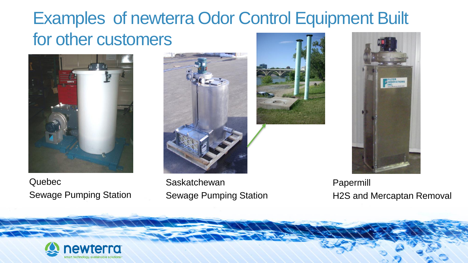# Examples of newterra Odor Control Equipment Built for other customers



Quebec Sewage Pumping Station



**Saskatchewan** Sewage Pumping Station





Papermill H2S and Mercaptan Removal

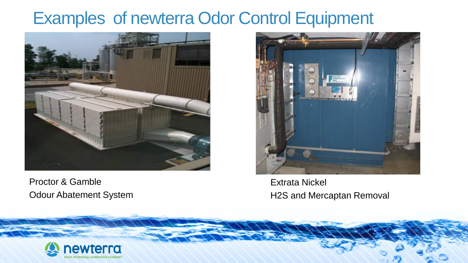### Examples of newterra Odor Control Equipment



Proctor & Gamble Odour Abatement System



Extrata Nickel H2S and Mercaptan Removal

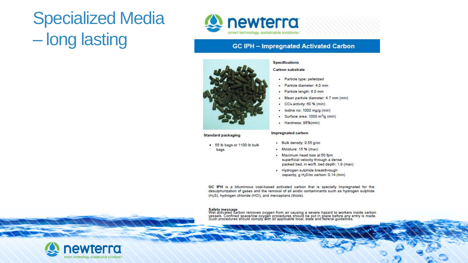# Specialized Media – long lasting



### **GC IPH - Impregnated Activated Carbon**



### Standard packaging

- . 55 lb bags or 1100 lb bulk
	- bags

### **Specifications**

### **Carbon substrate**

- · Particle type: pelletized
- · Particle diameter 4.0 mm
- Particle length: 6.0 mm ۰
- . Mean particle diameter: 4.7 mm (min)
- CCI4 activity: 60 % (min) ٠
- · lodine no: 1000 mg/g (min)
- Surface area: 1000 m<sup>2</sup>/g (min)
- · Hardness: 95%(min)

### Impregnated carbon

- · Bulk density: 0.55 g/cc
- Moisture: 15 % (max)
- . Maximum head loss at 50 fpm superficial velocity through a dense packed bed, in wo/ft. bed depth: 1.9 (max)
- · Hydrogen sulphide breakthrough capacity, g H<sub>2</sub>S/cc carbon: 0.14 (min)

GC IPH is a bituminous coal-based activated carbon that is specially impregnated for the desulphurization of gases and the removal of all acidic contaminants such as hydrogen sulphide (H<sub>2</sub>S), hydrogen chloride (HCl), and mercaptans (thiols).

Safety message<br>Wet activated carbon removes oxygen from air causing a severe hazard to workers inside carbon<br>vessels. Confined space/low oxygen procedures should be put in place before any entry is made.<br>Such procedures sh

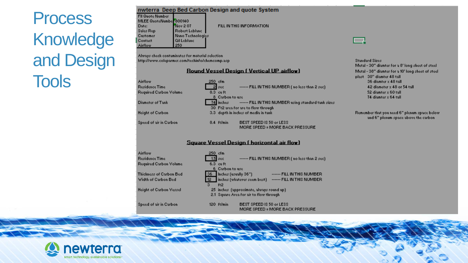# **Process** Knowledge and Design **Tools**

### nwterra Deep Bed Carbon Design and quote System

| <b>FII Quote Number</b> |                    |
|-------------------------|--------------------|
| MLEE QuoteNumber 800140 |                    |
| Date:                   | Nov 207            |
| Sales Rep.              | Robert Leblanc     |
| Customer                | Nano Technologies  |
| Contact                 | <b>Gil Lebland</b> |
| Airflow                 | 250                |

### FILL IN THIS INFORMATION.

Always check contaminates for material selection http://www.coleparmer.com/techinfo/chemcomp.asp-

### **Round Vessel Design (Vertical UP airflow)**

| rflow                | 250 cfm                              |                                                               |
|----------------------|--------------------------------------|---------------------------------------------------------------|
| sidence Time         | 2 sec                                | ------ FILL IN THIS NUMBER (no less than 2 sec).              |
| quired Carbon Volume | 8.3 cu ft                            |                                                               |
|                      | 8 Carbon to use                      |                                                               |
| ameter of Tank       |                                      | 74 inches ------- FILL IN THIS NUMBER using standard tank siz |
|                      |                                      | 30 Ft2 area for are to flow through                           |
| ight of Carbon       | 3.3 depth in inches of media in tank |                                                               |
| eed of air in Carbon | 8.4 ft/min                           | BEST SPEED IS 50 or LESS.                                     |
|                      |                                      | MORE SPEED = MORE BACK PRESSURE                               |

### Square Vessel Design (horizontal air flow)

**Airflow** 250 cfm  $1.5$  sec ------ FILL IN THIS NUMBER (no less than 2 sec) **Residence Time** Required Carbon Volume 6.3 cu ft 6 Carbon to use Thickness of Carbon Bed 36 Inches (usually 36") ------ FILL IN THIS NUMBER Width of Carbon Bed 12 Inches (whatever seem best) ------- FILL IN THIS NUMBER ft2 **Height of Carbon Vessel** 25 inches (approximate, always round up). 2.1 Square Area for air to flow through Speed of air in Carbon 120 ft/min BEST SPEED IS 50 or LESS MORE SPEED = MORE BACK PRESSURE

ewterra

▭

Standard Sizes Metal - 30" diamter for a 8" long sheet of steel Metal - 38" diamter for a 10' long sheet of steel plast 30" diamter 48 tall 36 diamter x 48 tall 42 diameter x 48 or 54 tall. 52 diamter x 60 tall 74 diamter x 64 tall

Remember that you need 6" plenum space below. and 6" plenum space above the carbon.